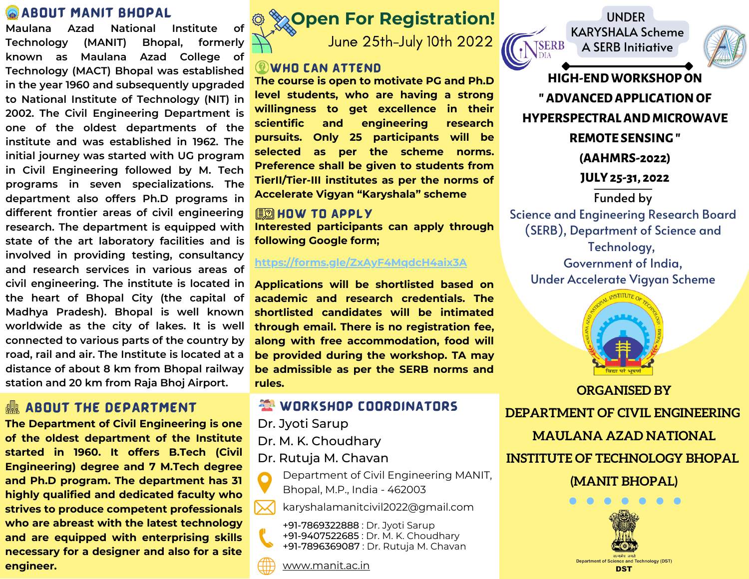## **ABOUT MANIT BHOPAL**

**Maulana Azad National Institute of Technology (MANIT) Bhopal, formerly known as Maulana Azad College of Technology (MACT) Bhopal was established in the year 1960 and subsequently upgraded to National Institute of Technology (NIT) in 2002. The Civil Engineering Department is one of the oldest departments of the institute and was established in 1962. The initial journey was started with UG program in Civil Engineering followed by M. Tech programs in seven specializations. The department also offers Ph.D programs in different frontier areas of civil engineering research. The department is equipped with state of the art laboratory facilities and is involved in providing testing, consultancy and research services in various areas of civil engineering. The institute is located in the heart of Bhopal City (the capital of Madhya Pradesh). Bhopal is well known worldwide as the city of lakes. It is well connected to various parts of the country by road, rail and air. The Institute is located at a distance of about 8 km from Bhopal railway**

## **ABOUT THE DEPARTMENT**

**The Department of Civil Engineering is one of the oldest department of the Institute started in 1960. It offers B.Tech (Civil Engineering) degree and 7 M.Tech degree and Ph.D program. The department has 31 highly qualified and dedicated faculty who strives to produce competent professionals who are abreast with the latest technology and are equipped with enterprising skills necessary for a designer and also for a site engineer.**



June 25th-July 10th 2022

### **WHO CAN ATTEND**

**The course is open to motivate PG and Ph.D level students, who are having a strong willingness to get excellence in their scientific and engineering research pursuits. Only 25 participants will be selected as per the scheme norms. Preference shall be given to students from TierII/Tier-III institutes as per the norms of Accelerate Vigyan "Karyshala" scheme**

#### **EDIHOW TO APPLY**

**Interested participants can apply through following Google form;**

#### **<https://forms.gle/ZxAyF4MqdcH4aix3A>**

**Applications will be shortlisted based on academic and research credentials. The shortlisted candidates will be intimated through email. There is no registration fee, along with free accommodation, food will be provided during the workshop. TA may be admissible as per the SERB norms and rules. station and <sup>20</sup> km from Raja Bhoj Airport. ORGANISED BY**

## **WORKSHOP COORDINATORS**

Dr. Jyoti Sarup

Dr. M. K. Choudhary

Dr. Rutuja M. Chavan

Department of Civil Engineering MANIT,  $\mathbf{\Omega}$ Bhopal, M.P., India - 462003

karyshalamanitcivil2022@gmail.com  $\boldsymbol{\times}$ 

+91-7869322888 : Dr. Jyoti Sarup +91-9407522685 : Dr. M. K. Choudhary +91-7896369087 : Dr. Rutuja M. Chavan

[www.manit.ac.in](http://www.manit.ac.in/)





**HIGH-ENDWORKSHOPON "ADVANCEDAPPLICATION OF HYPERSPECTRALAND MICROWAVE REMOTE SENSING" (AAHMRS-2022) JULY 25-31, 2022** Funded by Science and Engineering Research Board (SERB), Department of Science and Technology, Government of India, Under Accelerate Vigyan Scheme



**DEPARTMENT OF CIVIL ENGINEERING**

**MAULANA AZAD NATIONAL**

**INSTITUTE OF TECHNOLOGY BHOPAL**

**(MANIT BHOPAL)**